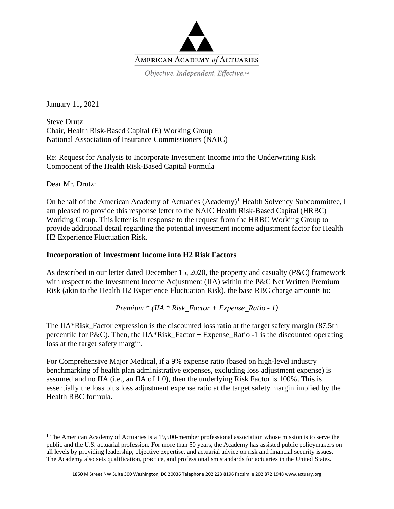

January 11, 2021

Steve Drutz Chair, Health Risk-Based Capital (E) Working Group National Association of Insurance Commissioners (NAIC)

Re: Request for Analysis to Incorporate Investment Income into the Underwriting Risk Component of the Health Risk-Based Capital Formula

Dear Mr. Drutz:

On behalf of the American Academy of Actuaries  $(Academy)^1$  $(Academy)^1$  Health Solvency Subcommittee, I am pleased to provide this response letter to the NAIC Health Risk-Based Capital (HRBC) Working Group. This letter is in response to the request from the HRBC Working Group to provide additional detail regarding the potential investment income adjustment factor for Health H2 Experience Fluctuation Risk.

## **Incorporation of Investment Income into H2 Risk Factors**

As described in our letter dated December 15, 2020, the property and casualty (P&C) framework with respect to the Investment Income Adjustment (IIA) within the P&C Net Written Premium Risk (akin to the Health H2 Experience Fluctuation Risk), the base RBC charge amounts to:

*Premium \* (IIA \* Risk\_Factor + Expense\_Ratio - 1)*

The IIA\*Risk Factor expression is the discounted loss ratio at the target safety margin  $(87.5th)$ percentile for P&C). Then, the IIA\*Risk\_Factor + Expense\_Ratio -1 is the discounted operating loss at the target safety margin.

For Comprehensive Major Medical, if a 9% expense ratio (based on high-level industry benchmarking of health plan administrative expenses, excluding loss adjustment expense) is assumed and no IIA (i.e., an IIA of 1.0), then the underlying Risk Factor is 100%. This is essentially the loss plus loss adjustment expense ratio at the target safety margin implied by the Health RBC formula.

<span id="page-0-0"></span><sup>&</sup>lt;sup>1</sup> The American Academy of Actuaries is a 19,500-member professional association whose mission is to serve the public and the U.S. actuarial profession. For more than 50 years, the Academy has assisted public policymakers on all levels by providing leadership, objective expertise, and actuarial advice on risk and financial security issues. The Academy also sets qualification, practice, and professionalism standards for actuaries in the United States.